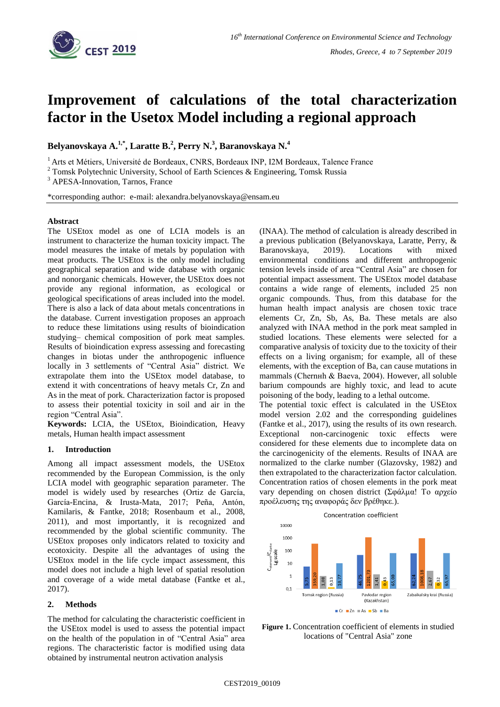

# **Improvement of calculations of the total characterization factor in the Usetox Model including a regional approach**

**Belyanovskaya A.1,\* , Laratte B.<sup>2</sup> , Perry N.<sup>3</sup> , Baranovskaya N.<sup>4</sup>**

<sup>1</sup> Arts et Métiers, Université de Bordeaux, CNRS, Bordeaux INP, I2M Bordeaux, Talence France

<sup>3</sup> APESA-Innovation, Tarnos, France

\*corresponding author: e-mail: alexandra.belyanovskaya@ensam.eu

### **Abstract**

The USEtox model as one of LCIA models is an instrument to characterize the human toxicity impact. The model measures the intake of metals by population with meat products. The USEtox is the only model including geographical separation and wide database with organic and nonorganic chemicals. However, the USEtox does not provide any regional information, as ecological or geological specifications of areas included into the model. There is also a lack of data about metals concentrations in the database. Current investigation proposes an approach to reduce these limitations using results of bioindication studying– chemical composition of pork meat samples. Results of bioindication express assessing and forecasting changes in biotas under the anthropogenic influence locally in 3 settlements of "Central Asia" district. We extrapolate them into the USEtox model database, to extend it with concentrations of heavy metals Cr, Zn and As in the meat of pork. Characterization factor is proposed to assess their potential toxicity in soil and air in the region "Central Asia".

**Keywords:** LCIA, the USEtox, Bioindication, Heavy metals, Human health impact assessment

## **1. Introduction**

Among all impact assessment models, the USEtox recommended by the European Commission, is the only LCIA model with geographic separation parameter. The model is widely used by researches (Ortiz de García, García-Encina, & Irusta-Mata, 2017; Peña, Antón, Kamilaris, & Fantke, 2018; Rosenbaum et al., 2008, 2011), and most importantly, it is recognized and recommended by the global scientific community. The USEtox proposes only indicators related to toxicity and ecotoxicity. Despite all the advantages of using the USEtox model in the life cycle impact assessment, this model does not include a high level of spatial resolution and coverage of a wide metal database (Fantke et al., 2017).

## **2. Methods**

The method for calculating the characteristic coefficient in the USEtox model is used to assess the potential impact on the health of the population in of "Central Asia" area regions. The characteristic factor is modified using data obtained by instrumental neutron activation analysis

(INAA). The method of calculation is already described in a previous publication (Belyanovskaya, Laratte, Perry, & Baranovskaya, 2019). Locations with mixed environmental conditions and different anthropogenic tension levels inside of area "Central Asia" are chosen for potential impact assessment. The USEtox model database contains a wide range of elements, included 25 non organic compounds. Thus, from this database for the human health impact analysis are chosen toxic trace elements Cr, Zn, Sb, As, Ba. These metals are also analyzed with INAA method in the pork meat sampled in studied locations. These elements were selected for a comparative analysis of toxicity due to the toxicity of their effects on a living organism; for example, all of these elements, with the exception of Ba, can cause mutations in mammals (Chernнh & Baeva, 2004). However, all soluble barium compounds are highly toxic, and lead to acute poisoning of the body, leading to a lethal outcome.

The potential toxic effect is calculated in the USEtox model version 2.02 and the corresponding guidelines (Fantke et al., 2017), using the results of its own research. Exceptional non-carcinogenic toxic effects were considered for these elements due to incomplete data on the carcinogenicity of the elements. Results of INAA are normalized to the clarke number (Glazovsky, 1982) and then extrapolated to the characterization factor calculation. Concentration ratios of chosen elements in the pork meat vary depending on chosen district (Σφάλμα! Το αρχείο προέλευσης της αναφοράς δεν βρέθηκε.).



**Figure 1.** Concentration coefficient of elements in studied locations of "Central Asia" zone

<sup>2</sup> Tomsk Polytechnic University, School of Earth Sciences & Engineering, Tomsk Russia